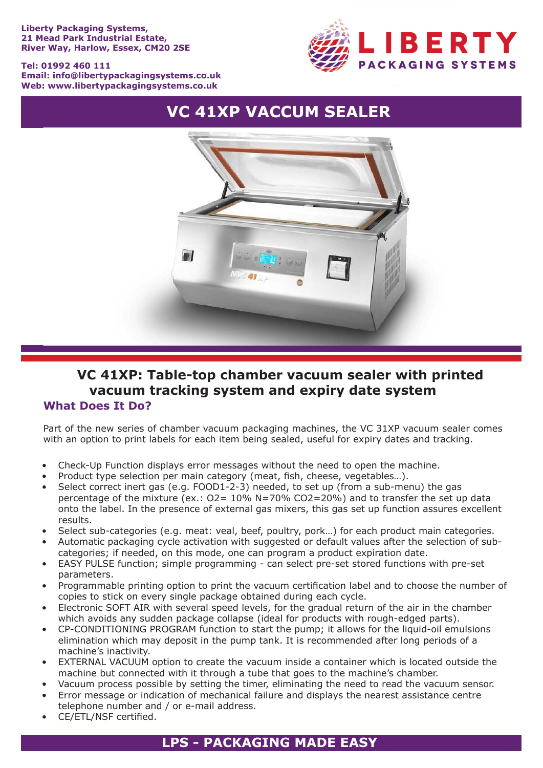#### **Liberty Packaging Systems, 21 Mead Park Industrial Estate, River Way, Harlow, Essex, CM20 2SE**

#### **Tel: 01992 460 111 Email: info@libertypackagingsystems.co.uk Web: www.libertypackagingsystems.co.uk**



# **VC 41XP VACCUM SEALER**



## **What Does It Do? VC 41XP: Table-top chamber vacuum sealer with printed vacuum tracking system and expiry date system**

Part of the new series of chamber vacuum packaging machines, the VC 31XP vacuum sealer comes with an option to print labels for each item being sealed, useful for expiry dates and tracking.

- Check-Up Function displays error messages without the need to open the machine.
- Product type selection per main category (meat, fish, cheese, vegetables...).
- Select correct inert gas (e.g.  $FOOD1-2-3)$  needed, to set up (from a sub-menu) the gas percentage of the mixture (ex.: O2= 10% N=70% CO2=20%) and to transfer the set up data onto the label. In the presence of external gas mixers, this gas set up function assures excellent results.
- Select sub-categories (e.g. meat: veal, beef, poultry, pork...) for each product main categories.
- Automatic packaging cycle activation with suggested or default values after the selection of subcategories; if needed, on this mode, one can program a product expiration date.
- EASY PULSE function; simple programming can select pre-set stored functions with pre-set parameters.
- Programmable printing option to print the vacuum certification label and to choose the number of copies to stick on every single package obtained during each cycle.
- Electronic SOFT AIR with several speed levels, for the gradual return of the air in the chamber which avoids any sudden package collapse (ideal for products with rough-edged parts).
- CP-CONDITIONING PROGRAM function to start the pump; it allows for the liquid-oil emulsions elimination which may deposit in the pump tank. It is recommended after long periods of a machine's inactivity.
- EXTERNAL VACUUM option to create the vacuum inside a container which is located outside the machine but connected with it through a tube that goes to the machine's chamber.
- Vacuum process possible by setting the timer, eliminating the need to read the vacuum sensor.
- Error message or indication of mechanical failure and displays the nearest assistance centre telephone number and / or e-mail address.
- CE/ETL/NSF certified.

# **LPS - PACKAGING MADE EASY**